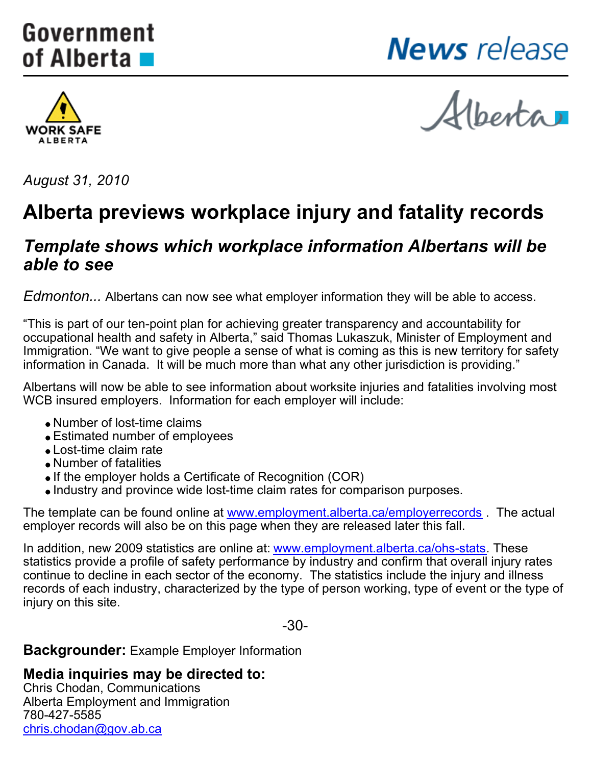# <span id="page-0-0"></span>Government of Alberta ■

**News** release



Hberta

*August 31, 2010*

## **Alberta previews workplace injury and fatality records**

### *Template shows which workplace information Albertans will be able to see*

*Edmonton...* Albertans can now see what employer information they will be able to access.

"This is part of our ten-point plan for achieving greater transparency and accountability for occupational health and safety in Alberta," said Thomas Lukaszuk, Minister of Employment and Immigration. "We want to give people a sense of what is coming as this is new territory for safety information in Canada. It will be much more than what any other jurisdiction is providing."

Albertans will now be able to see information about worksite injuries and fatalities involving most WCB insured employers. Information for each employer will include:

- Number of lost-time claims
- Estimated number of employees
- Lost-time claim rate
- Number of fatalities
- If the employer holds a Certificate of Recognition (COR)
- Industry and province wide lost-time claim rates for comparison purposes.

The template can be found online at [www.employment.alberta.ca/employerrecords](http://www.employment.alberta.ca/employerrecords) . The actual employer records will also be on this page when they are released later this fall.

In addition, new 2009 statistics are online at: [www.employment.alberta.ca/ohs-stats](http://www.employment.alberta.ca/ohs-stats). These statistics provide a profile of safety performance by industry and confirm that overall injury rates continue to decline in each sector of the economy. The statistics include the injury and illness records of each industry, characterized by the type of person working, type of event or the type of injury on this site.

-30-

**Backgrounder:** Example Employer Information

#### **Media inquiries may be directed to:**

Chris Chodan, Communications Alberta Employment and Immigration 780-427-5585 [chris.chodan@gov.ab.ca](mailto:chris.chodan@gov.ab.ca)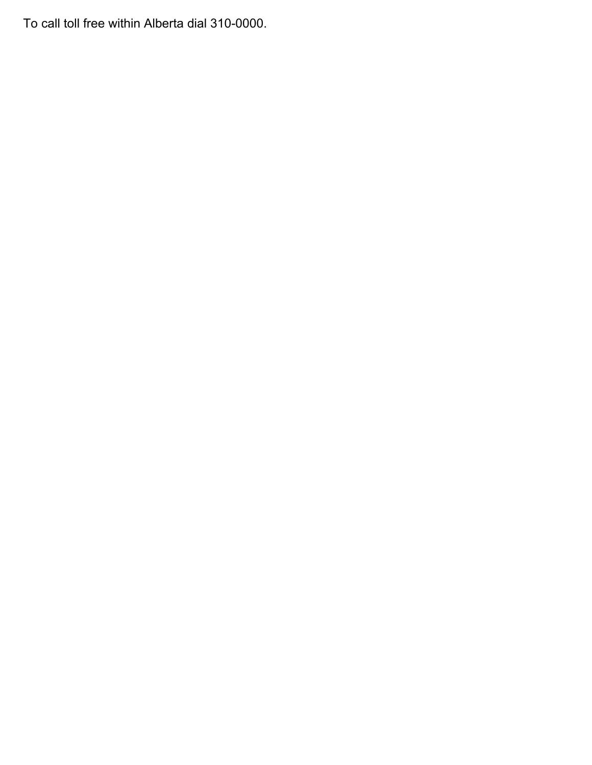To call toll free within Alberta dial 310-0000.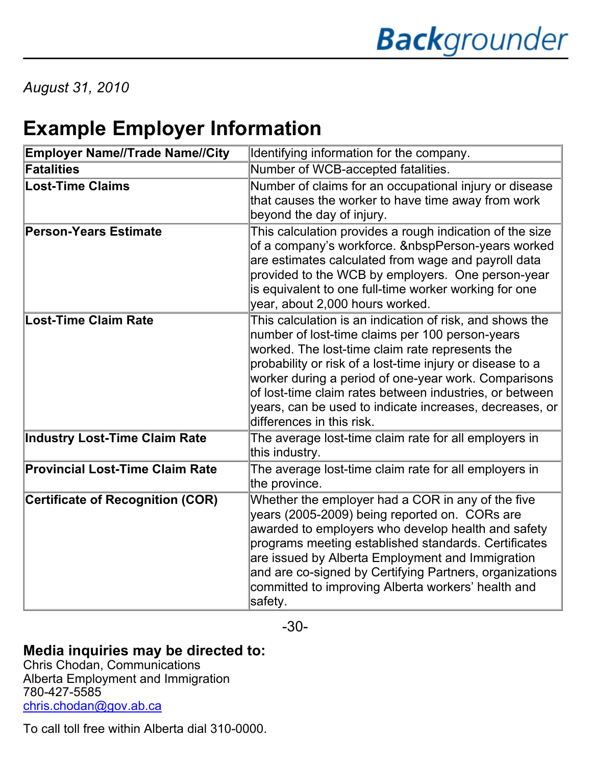*August 31, 2010*

# **Example Employer Information**

| <b>Employer Name//Trade Name//City</b>  | Identifying information for the company.                                                                                                                                                                                                                                                                                                                                                                                               |
|-----------------------------------------|----------------------------------------------------------------------------------------------------------------------------------------------------------------------------------------------------------------------------------------------------------------------------------------------------------------------------------------------------------------------------------------------------------------------------------------|
| <b>Fatalities</b>                       | Number of WCB-accepted fatalities.                                                                                                                                                                                                                                                                                                                                                                                                     |
| <b>Lost-Time Claims</b>                 | Number of claims for an occupational injury or disease<br>that causes the worker to have time away from work<br>beyond the day of injury.                                                                                                                                                                                                                                                                                              |
| <b>Person-Years Estimate</b>            | This calculation provides a rough indication of the size<br>of a company's workforce. &nbspPerson-years worked<br>are estimates calculated from wage and payroll data<br>provided to the WCB by employers. One person-year<br>is equivalent to one full-time worker working for one<br>year, about 2,000 hours worked.                                                                                                                 |
| <b>Lost-Time Claim Rate</b>             | This calculation is an indication of risk, and shows the<br>number of lost-time claims per 100 person-years<br>worked. The lost-time claim rate represents the<br>probability or risk of a lost-time injury or disease to a<br>worker during a period of one-year work. Comparisons<br>of lost-time claim rates between industries, or between<br>years, can be used to indicate increases, decreases, or<br>differences in this risk. |
| <b>Industry Lost-Time Claim Rate</b>    | The average lost-time claim rate for all employers in<br>this industry.                                                                                                                                                                                                                                                                                                                                                                |
| <b>Provincial Lost-Time Claim Rate</b>  | The average lost-time claim rate for all employers in<br>the province.                                                                                                                                                                                                                                                                                                                                                                 |
| <b>Certificate of Recognition (COR)</b> | Whether the employer had a COR in any of the five<br>years (2005-2009) being reported on. CORs are<br>awarded to employers who develop health and safety<br>programs meeting established standards. Certificates<br>are issued by Alberta Employment and Immigration<br>and are co-signed by Certifying Partners, organizations<br>committed to improving Alberta workers' health and<br>safety.                                       |

-30-

### **Media inquiries may be directed to:**

Chris Chodan, Communications Alberta Employment and Immigration 780-427-5585 [chris.chodan@gov.ab.ca](mailto:chris.chodan@gov.ab.ca)

To call toll free within Alberta dial 310-0000.